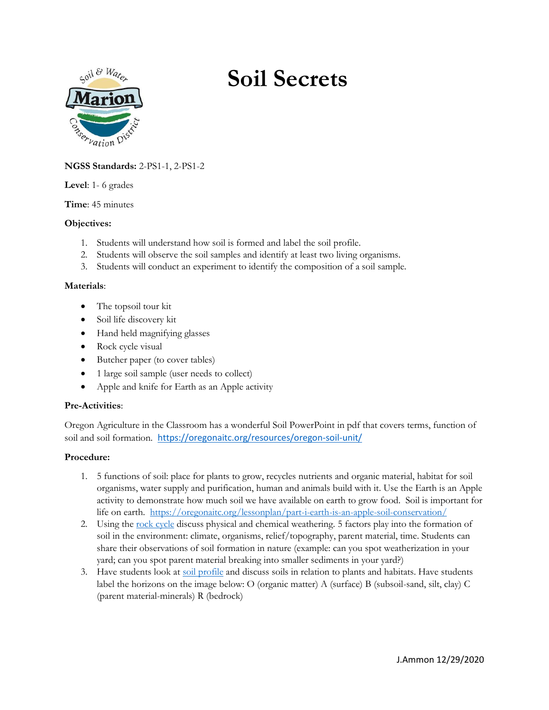

# **Soil Secrets**

# **NGSS Standards:** 2-PS1-1, 2-PS1-2

**Level**: 1- 6 grades

**Time**: 45 minutes

#### **Objectives:**

- 1. Students will understand how soil is formed and label the soil profile.
- 2. Students will observe the soil samples and identify at least two living organisms.
- 3. Students will conduct an experiment to identify the composition of a soil sample.

#### **Materials**:

- The topsoil tour kit
- Soil life discovery kit
- Hand held magnifying glasses
- Rock cycle visual
- Butcher paper (to cover tables)
- 1 large soil sample (user needs to collect)
- Apple and knife for Earth as an Apple activity

## **Pre-Activities**:

Oregon Agriculture in the Classroom has a wonderful Soil PowerPoint in pdf that covers terms, function of soil and soil formation. <https://oregonaitc.org/resources/oregon-soil-unit/>

#### **Procedure:**

- 1. 5 functions of soil: place for plants to grow, recycles nutrients and organic material, habitat for soil organisms, water supply and purification, human and animals build with it. Use the Earth is an Apple activity to demonstrate how much soil we have available on earth to grow food. Soil is important for life on earth. <https://oregonaitc.org/lessonplan/part-i-earth-is-an-apple-soil-conservation/>
- 2. Using the <u>rock cycle</u> discuss physical and chemical weathering. 5 factors play into the formation of soil in the environment: climate, organisms, relief/topography, parent material, time. Students can share their observations of soil formation in nature (example: can you spot weatherization in your yard; can you spot parent material breaking into smaller sediments in your yard?)
- 3. Have students look at [soil profile](https://i.pinimg.com/originals/af/06/d8/af06d88dd9e0ffa6566e69f2e7b59313.jpg) and discuss soils in relation to plants and habitats. Have students label the horizons on the image below: O (organic matter) A (surface) B (subsoil-sand, silt, clay) C (parent material-minerals) R (bedrock)